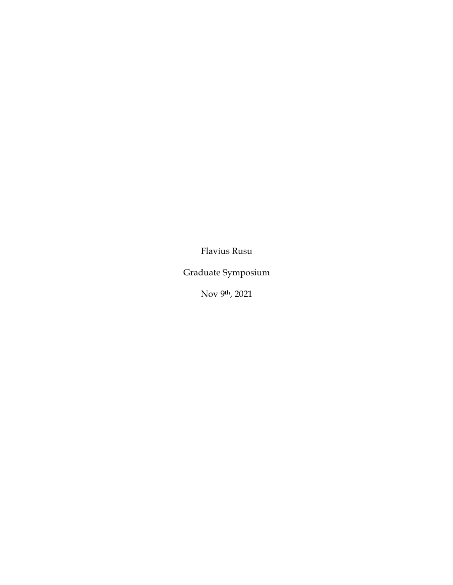Flavius Rusu

Graduate Symposium

Nov 9th, 2021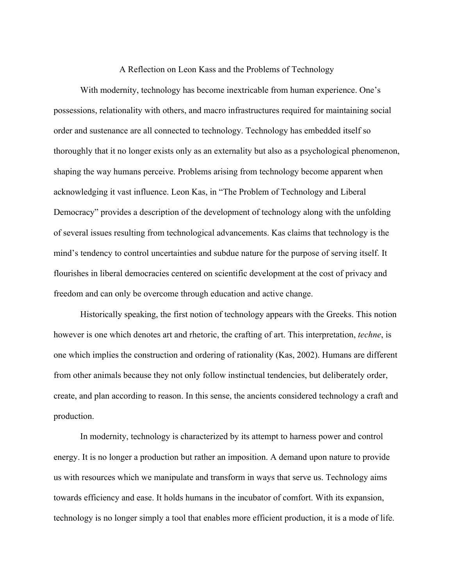A Reflection on Leon Kass and the Problems of Technology

With modernity, technology has become inextricable from human experience. One's possessions, relationality with others, and macro infrastructures required for maintaining social order and sustenance are all connected to technology. Technology has embedded itself so thoroughly that it no longer exists only as an externality but also as a psychological phenomenon, shaping the way humans perceive. Problems arising from technology become apparent when acknowledging it vast influence. Leon Kas, in "The Problem of Technology and Liberal Democracy" provides a description of the development of technology along with the unfolding of several issues resulting from technological advancements. Kas claims that technology is the mind's tendency to control uncertainties and subdue nature for the purpose of serving itself. It flourishes in liberal democracies centered on scientific development at the cost of privacy and freedom and can only be overcome through education and active change.

Historically speaking, the first notion of technology appears with the Greeks. This notion however is one which denotes art and rhetoric, the crafting of art. This interpretation, *techne*, is one which implies the construction and ordering of rationality (Kas, 2002). Humans are different from other animals because they not only follow instinctual tendencies, but deliberately order, create, and plan according to reason. In this sense, the ancients considered technology a craft and production.

In modernity, technology is characterized by its attempt to harness power and control energy. It is no longer a production but rather an imposition. A demand upon nature to provide us with resources which we manipulate and transform in ways that serve us. Technology aims towards efficiency and ease. It holds humans in the incubator of comfort. With its expansion, technology is no longer simply a tool that enables more efficient production, it is a mode of life.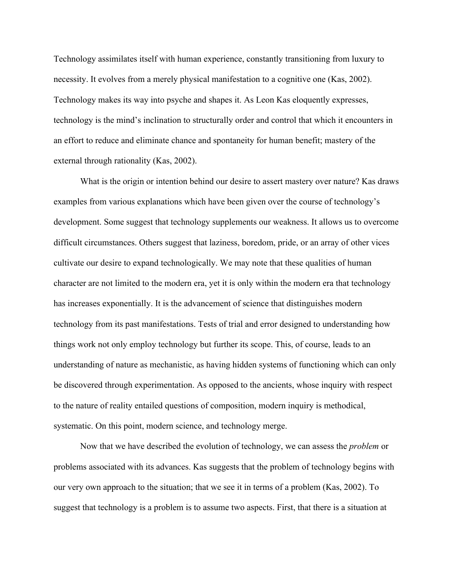Technology assimilates itself with human experience, constantly transitioning from luxury to necessity. It evolves from a merely physical manifestation to a cognitive one (Kas, 2002). Technology makes its way into psyche and shapes it. As Leon Kas eloquently expresses, technology is the mind's inclination to structurally order and control that which it encounters in an effort to reduce and eliminate chance and spontaneity for human benefit; mastery of the external through rationality (Kas, 2002).

What is the origin or intention behind our desire to assert mastery over nature? Kas draws examples from various explanations which have been given over the course of technology's development. Some suggest that technology supplements our weakness. It allows us to overcome difficult circumstances. Others suggest that laziness, boredom, pride, or an array of other vices cultivate our desire to expand technologically. We may note that these qualities of human character are not limited to the modern era, yet it is only within the modern era that technology has increases exponentially. It is the advancement of science that distinguishes modern technology from its past manifestations. Tests of trial and error designed to understanding how things work not only employ technology but further its scope. This, of course, leads to an understanding of nature as mechanistic, as having hidden systems of functioning which can only be discovered through experimentation. As opposed to the ancients, whose inquiry with respect to the nature of reality entailed questions of composition, modern inquiry is methodical, systematic. On this point, modern science, and technology merge.

Now that we have described the evolution of technology, we can assess the *problem* or problems associated with its advances. Kas suggests that the problem of technology begins with our very own approach to the situation; that we see it in terms of a problem (Kas, 2002). To suggest that technology is a problem is to assume two aspects. First, that there is a situation at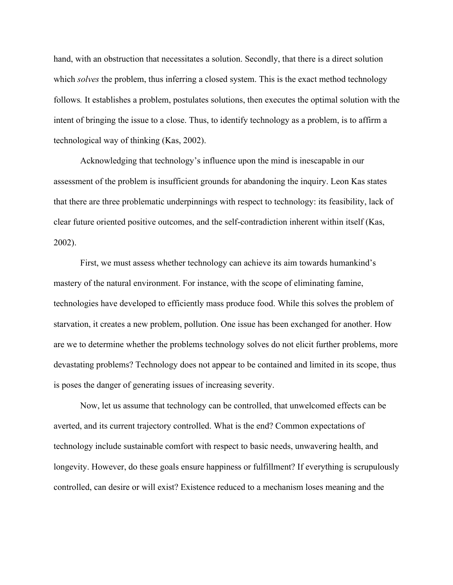hand, with an obstruction that necessitates a solution. Secondly, that there is a direct solution which *solves* the problem, thus inferring a closed system. This is the exact method technology follows*.* It establishes a problem, postulates solutions, then executes the optimal solution with the intent of bringing the issue to a close. Thus, to identify technology as a problem, is to affirm a technological way of thinking (Kas, 2002).

Acknowledging that technology's influence upon the mind is inescapable in our assessment of the problem is insufficient grounds for abandoning the inquiry. Leon Kas states that there are three problematic underpinnings with respect to technology: its feasibility, lack of clear future oriented positive outcomes, and the self-contradiction inherent within itself (Kas, 2002).

First, we must assess whether technology can achieve its aim towards humankind's mastery of the natural environment. For instance, with the scope of eliminating famine, technologies have developed to efficiently mass produce food. While this solves the problem of starvation, it creates a new problem, pollution. One issue has been exchanged for another. How are we to determine whether the problems technology solves do not elicit further problems, more devastating problems? Technology does not appear to be contained and limited in its scope, thus is poses the danger of generating issues of increasing severity.

Now, let us assume that technology can be controlled, that unwelcomed effects can be averted, and its current trajectory controlled. What is the end? Common expectations of technology include sustainable comfort with respect to basic needs, unwavering health, and longevity. However, do these goals ensure happiness or fulfillment? If everything is scrupulously controlled, can desire or will exist? Existence reduced to a mechanism loses meaning and the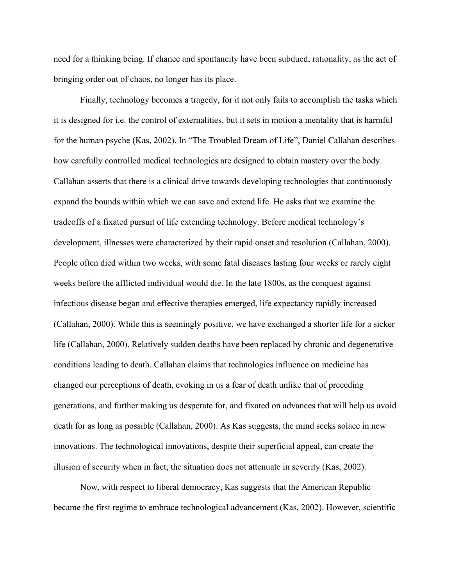need for a thinking being. If chance and spontaneity have been subdued, rationality, as the act of bringing order out of chaos, no longer has its place.

Finally, technology becomes a tragedy, for it not only fails to accomplish the tasks which it is designed for i.e. the control of externalities, but it sets in motion a mentality that is harmful for the human psyche (Kas, 2002). In "The Troubled Dream of Life", Daniel Callahan describes how carefully controlled medical technologies are designed to obtain mastery over the body. Callahan asserts that there is a clinical drive towards developing technologies that continuously expand the bounds within which we can save and extend life. He asks that we examine the tradeoffs of a fixated pursuit of life extending technology. Before medical technology's development, illnesses were characterized by their rapid onset and resolution (Callahan, 2000). People often died within two weeks, with some fatal diseases lasting four weeks or rarely eight weeks before the afflicted individual would die. In the late 1800s, as the conquest against infectious disease began and effective therapies emerged, life expectancy rapidly increased (Callahan, 2000). While this is seemingly positive, we have exchanged a shorter life for a sicker life (Callahan, 2000). Relatively sudden deaths have been replaced by chronic and degenerative conditions leading to death. Callahan claims that technologies influence on medicine has changed our perceptions of death, evoking in us a fear of death unlike that of preceding generations, and further making us desperate for, and fixated on advances that will help us avoid death for as long as possible (Callahan, 2000). As Kas suggests, the mind seeks solace in new innovations. The technological innovations, despite their superficial appeal, can create the illusion of security when in fact, the situation does not attenuate in severity (Kas, 2002).

Now, with respect to liberal democracy, Kas suggests that the American Republic became the first regime to embrace technological advancement (Kas, 2002). However, scientific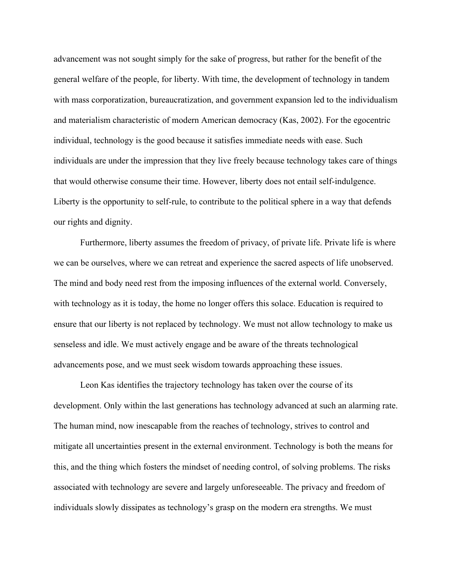advancement was not sought simply for the sake of progress, but rather for the benefit of the general welfare of the people, for liberty. With time, the development of technology in tandem with mass corporatization, bureaucratization, and government expansion led to the individualism and materialism characteristic of modern American democracy (Kas, 2002). For the egocentric individual, technology is the good because it satisfies immediate needs with ease. Such individuals are under the impression that they live freely because technology takes care of things that would otherwise consume their time. However, liberty does not entail self-indulgence. Liberty is the opportunity to self-rule, to contribute to the political sphere in a way that defends our rights and dignity.

Furthermore, liberty assumes the freedom of privacy, of private life. Private life is where we can be ourselves, where we can retreat and experience the sacred aspects of life unobserved. The mind and body need rest from the imposing influences of the external world. Conversely, with technology as it is today, the home no longer offers this solace. Education is required to ensure that our liberty is not replaced by technology. We must not allow technology to make us senseless and idle. We must actively engage and be aware of the threats technological advancements pose, and we must seek wisdom towards approaching these issues.

Leon Kas identifies the trajectory technology has taken over the course of its development. Only within the last generations has technology advanced at such an alarming rate. The human mind, now inescapable from the reaches of technology, strives to control and mitigate all uncertainties present in the external environment. Technology is both the means for this, and the thing which fosters the mindset of needing control, of solving problems. The risks associated with technology are severe and largely unforeseeable. The privacy and freedom of individuals slowly dissipates as technology's grasp on the modern era strengths. We must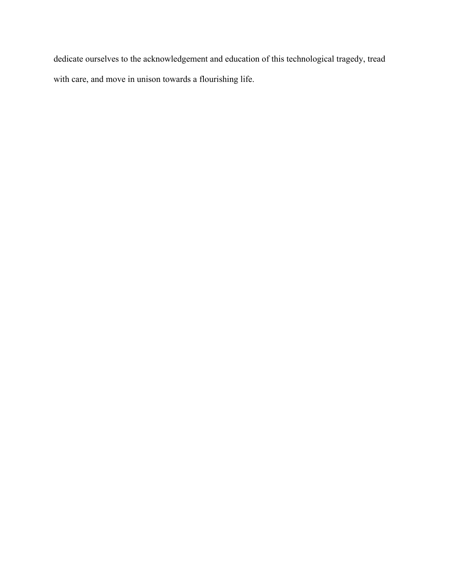dedicate ourselves to the acknowledgement and education of this technological tragedy, tread with care, and move in unison towards a flourishing life.